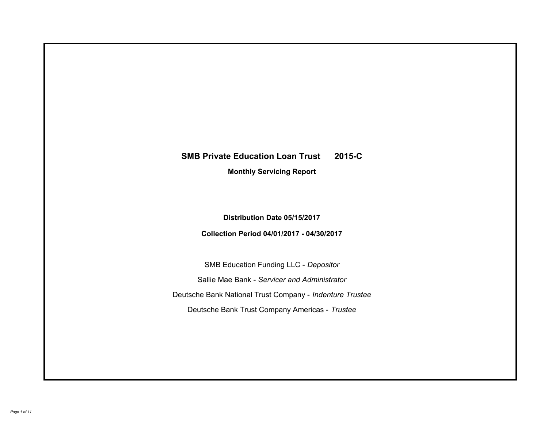# **SMB Private Education Loan Trust 2015-C Monthly Servicing Report**

**Distribution Date 05/15/2017**

**Collection Period 04/01/2017 - 04/30/2017**

SMB Education Funding LLC - *Depositor* Sallie Mae Bank - *Servicer and Administrator* Deutsche Bank National Trust Company - *Indenture Trustee* Deutsche Bank Trust Company Americas - *Trustee*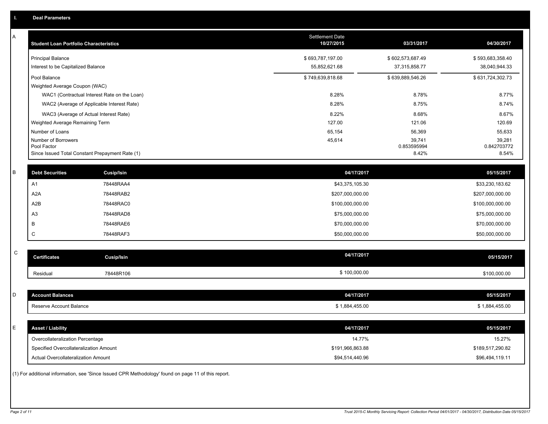| Α           | <b>Student Loan Portfolio Characteristics</b>                              |                                                                                                     | Settlement Date<br>10/27/2015 | 03/31/2017            | 04/30/2017                 |
|-------------|----------------------------------------------------------------------------|-----------------------------------------------------------------------------------------------------|-------------------------------|-----------------------|----------------------------|
|             | <b>Principal Balance</b>                                                   |                                                                                                     | \$693,787,197.00              | \$602,573,687.49      | \$593,683,358.40           |
|             | Interest to be Capitalized Balance                                         |                                                                                                     | 55,852,621.68                 | 37,315,858.77         | 38,040,944.33              |
|             | Pool Balance                                                               |                                                                                                     | \$749,639,818.68              | \$639,889,546.26      | \$631,724,302.73           |
|             | Weighted Average Coupon (WAC)                                              |                                                                                                     |                               |                       |                            |
|             |                                                                            | WAC1 (Contractual Interest Rate on the Loan)                                                        | 8.28%                         | 8.78%                 | 8.77%                      |
|             |                                                                            | WAC2 (Average of Applicable Interest Rate)                                                          | 8.28%                         | 8.75%                 | 8.74%                      |
|             | WAC3 (Average of Actual Interest Rate)                                     |                                                                                                     | 8.22%                         | 8.68%                 | 8.67%                      |
|             | Weighted Average Remaining Term                                            |                                                                                                     | 127.00                        | 121.06                | 120.69                     |
|             | Number of Loans                                                            |                                                                                                     | 65,154                        | 56,369                | 55,633                     |
|             | Number of Borrowers<br>Pool Factor                                         |                                                                                                     | 45,614                        | 39,741<br>0.853595994 | 39,281<br>0.842703772      |
|             | Since Issued Total Constant Prepayment Rate (1)                            |                                                                                                     |                               | 8.42%                 | 8.54%                      |
| B           | <b>Debt Securities</b>                                                     | <b>Cusip/Isin</b>                                                                                   | 04/17/2017                    |                       | 05/15/2017                 |
|             | A <sub>1</sub>                                                             | 78448RAA4                                                                                           | \$43,375,105.30               |                       | \$33,230,183.62            |
|             | A <sub>2</sub> A                                                           | 78448RAB2                                                                                           | \$207,000,000.00              |                       | \$207,000,000.00           |
|             | A2B                                                                        | 78448RAC0                                                                                           | \$100,000,000.00              |                       | \$100,000,000.00           |
|             | A <sub>3</sub>                                                             | 78448RAD8                                                                                           | \$75,000,000.00               |                       | \$75,000,000.00            |
|             | B                                                                          | 78448RAE6                                                                                           |                               |                       |                            |
|             |                                                                            |                                                                                                     | \$70,000,000.00               |                       | \$70,000,000.00            |
|             | C                                                                          | 78448RAF3                                                                                           | \$50,000,000.00               |                       | \$50,000,000.00            |
| $\mathsf C$ | <b>Certificates</b>                                                        | Cusip/Isin                                                                                          | 04/17/2017                    |                       | 05/15/2017                 |
|             | Residual                                                                   | 78448R106                                                                                           | \$100,000.00                  |                       | \$100,000.00               |
|             |                                                                            |                                                                                                     |                               |                       |                            |
| D           | <b>Account Balances</b>                                                    |                                                                                                     | 04/17/2017                    |                       | 05/15/2017                 |
|             | Reserve Account Balance                                                    |                                                                                                     | \$1,884,455.00                |                       | \$1,884,455.00             |
| E           | <b>Asset / Liability</b>                                                   |                                                                                                     | 04/17/2017                    |                       | 05/15/2017                 |
|             |                                                                            |                                                                                                     |                               |                       |                            |
|             | Overcollateralization Percentage<br>Specified Overcollateralization Amount |                                                                                                     | \$191,966,863.88              | 14.77%                | 15.27%<br>\$189,517,290.82 |
|             | Actual Overcollateralization Amount                                        |                                                                                                     |                               |                       |                            |
|             |                                                                            |                                                                                                     | \$94,514,440.96               |                       | \$96,494,119.11            |
|             |                                                                            | (1) For additional information, see 'Since Issued CPR Methodology' found on page 11 of this report. |                               |                       |                            |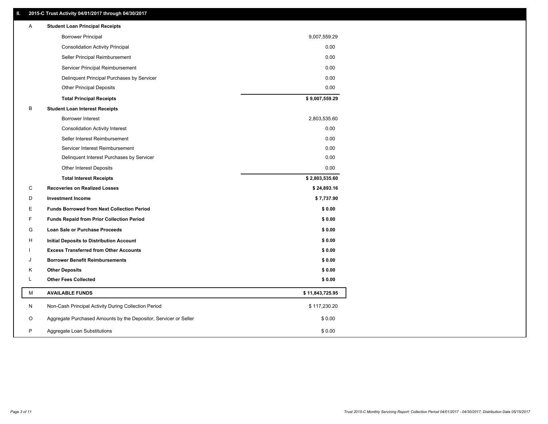### **II. 2015-C Trust Activity 04/01/2017 through 04/30/2017**

| <b>Borrower Principal</b><br>9,007,559.29<br>0.00<br><b>Consolidation Activity Principal</b><br>0.00<br>Seller Principal Reimbursement<br>0.00<br>Servicer Principal Reimbursement<br>Delinquent Principal Purchases by Servicer<br>0.00<br><b>Other Principal Deposits</b><br>0.00<br>\$9,007,559.29<br><b>Total Principal Receipts</b><br>В<br><b>Student Loan Interest Receipts</b><br><b>Borrower Interest</b><br>2,803,535.60<br>0.00<br><b>Consolidation Activity Interest</b><br>0.00<br>Seller Interest Reimbursement<br>0.00<br>Servicer Interest Reimbursement<br>Delinquent Interest Purchases by Servicer<br>0.00<br>Other Interest Deposits<br>0.00<br>\$2,803,535.60<br><b>Total Interest Receipts</b><br>C<br><b>Recoveries on Realized Losses</b><br>\$24,893.16<br>D<br><b>Investment Income</b><br>\$7,737.90<br>Е<br><b>Funds Borrowed from Next Collection Period</b><br>\$0.00<br>F<br>\$0.00<br><b>Funds Repaid from Prior Collection Period</b><br>\$0.00<br>G<br>Loan Sale or Purchase Proceeds<br>\$0.00<br>H<br><b>Initial Deposits to Distribution Account</b><br><b>Excess Transferred from Other Accounts</b><br>\$0.00<br>\$0.00<br><b>Borrower Benefit Reimbursements</b><br>J<br><b>Other Deposits</b><br>\$0.00<br>Κ<br>L<br><b>Other Fees Collected</b><br>\$0.00<br>М<br><b>AVAILABLE FUNDS</b><br>\$11,843,725.95<br>N<br>Non-Cash Principal Activity During Collection Period<br>\$117,230.20<br>Aggregate Purchased Amounts by the Depositor, Servicer or Seller<br>O<br>\$0.00<br>P<br>Aggregate Loan Substitutions<br>\$0.00 | Α | <b>Student Loan Principal Receipts</b> |  |
|----------------------------------------------------------------------------------------------------------------------------------------------------------------------------------------------------------------------------------------------------------------------------------------------------------------------------------------------------------------------------------------------------------------------------------------------------------------------------------------------------------------------------------------------------------------------------------------------------------------------------------------------------------------------------------------------------------------------------------------------------------------------------------------------------------------------------------------------------------------------------------------------------------------------------------------------------------------------------------------------------------------------------------------------------------------------------------------------------------------------------------------------------------------------------------------------------------------------------------------------------------------------------------------------------------------------------------------------------------------------------------------------------------------------------------------------------------------------------------------------------------------------------------------------------------------------|---|----------------------------------------|--|
|                                                                                                                                                                                                                                                                                                                                                                                                                                                                                                                                                                                                                                                                                                                                                                                                                                                                                                                                                                                                                                                                                                                                                                                                                                                                                                                                                                                                                                                                                                                                                                      |   |                                        |  |
|                                                                                                                                                                                                                                                                                                                                                                                                                                                                                                                                                                                                                                                                                                                                                                                                                                                                                                                                                                                                                                                                                                                                                                                                                                                                                                                                                                                                                                                                                                                                                                      |   |                                        |  |
|                                                                                                                                                                                                                                                                                                                                                                                                                                                                                                                                                                                                                                                                                                                                                                                                                                                                                                                                                                                                                                                                                                                                                                                                                                                                                                                                                                                                                                                                                                                                                                      |   |                                        |  |
|                                                                                                                                                                                                                                                                                                                                                                                                                                                                                                                                                                                                                                                                                                                                                                                                                                                                                                                                                                                                                                                                                                                                                                                                                                                                                                                                                                                                                                                                                                                                                                      |   |                                        |  |
|                                                                                                                                                                                                                                                                                                                                                                                                                                                                                                                                                                                                                                                                                                                                                                                                                                                                                                                                                                                                                                                                                                                                                                                                                                                                                                                                                                                                                                                                                                                                                                      |   |                                        |  |
|                                                                                                                                                                                                                                                                                                                                                                                                                                                                                                                                                                                                                                                                                                                                                                                                                                                                                                                                                                                                                                                                                                                                                                                                                                                                                                                                                                                                                                                                                                                                                                      |   |                                        |  |
|                                                                                                                                                                                                                                                                                                                                                                                                                                                                                                                                                                                                                                                                                                                                                                                                                                                                                                                                                                                                                                                                                                                                                                                                                                                                                                                                                                                                                                                                                                                                                                      |   |                                        |  |
|                                                                                                                                                                                                                                                                                                                                                                                                                                                                                                                                                                                                                                                                                                                                                                                                                                                                                                                                                                                                                                                                                                                                                                                                                                                                                                                                                                                                                                                                                                                                                                      |   |                                        |  |
|                                                                                                                                                                                                                                                                                                                                                                                                                                                                                                                                                                                                                                                                                                                                                                                                                                                                                                                                                                                                                                                                                                                                                                                                                                                                                                                                                                                                                                                                                                                                                                      |   |                                        |  |
|                                                                                                                                                                                                                                                                                                                                                                                                                                                                                                                                                                                                                                                                                                                                                                                                                                                                                                                                                                                                                                                                                                                                                                                                                                                                                                                                                                                                                                                                                                                                                                      |   |                                        |  |
|                                                                                                                                                                                                                                                                                                                                                                                                                                                                                                                                                                                                                                                                                                                                                                                                                                                                                                                                                                                                                                                                                                                                                                                                                                                                                                                                                                                                                                                                                                                                                                      |   |                                        |  |
|                                                                                                                                                                                                                                                                                                                                                                                                                                                                                                                                                                                                                                                                                                                                                                                                                                                                                                                                                                                                                                                                                                                                                                                                                                                                                                                                                                                                                                                                                                                                                                      |   |                                        |  |
|                                                                                                                                                                                                                                                                                                                                                                                                                                                                                                                                                                                                                                                                                                                                                                                                                                                                                                                                                                                                                                                                                                                                                                                                                                                                                                                                                                                                                                                                                                                                                                      |   |                                        |  |
|                                                                                                                                                                                                                                                                                                                                                                                                                                                                                                                                                                                                                                                                                                                                                                                                                                                                                                                                                                                                                                                                                                                                                                                                                                                                                                                                                                                                                                                                                                                                                                      |   |                                        |  |
|                                                                                                                                                                                                                                                                                                                                                                                                                                                                                                                                                                                                                                                                                                                                                                                                                                                                                                                                                                                                                                                                                                                                                                                                                                                                                                                                                                                                                                                                                                                                                                      |   |                                        |  |
|                                                                                                                                                                                                                                                                                                                                                                                                                                                                                                                                                                                                                                                                                                                                                                                                                                                                                                                                                                                                                                                                                                                                                                                                                                                                                                                                                                                                                                                                                                                                                                      |   |                                        |  |
|                                                                                                                                                                                                                                                                                                                                                                                                                                                                                                                                                                                                                                                                                                                                                                                                                                                                                                                                                                                                                                                                                                                                                                                                                                                                                                                                                                                                                                                                                                                                                                      |   |                                        |  |
|                                                                                                                                                                                                                                                                                                                                                                                                                                                                                                                                                                                                                                                                                                                                                                                                                                                                                                                                                                                                                                                                                                                                                                                                                                                                                                                                                                                                                                                                                                                                                                      |   |                                        |  |
|                                                                                                                                                                                                                                                                                                                                                                                                                                                                                                                                                                                                                                                                                                                                                                                                                                                                                                                                                                                                                                                                                                                                                                                                                                                                                                                                                                                                                                                                                                                                                                      |   |                                        |  |
|                                                                                                                                                                                                                                                                                                                                                                                                                                                                                                                                                                                                                                                                                                                                                                                                                                                                                                                                                                                                                                                                                                                                                                                                                                                                                                                                                                                                                                                                                                                                                                      |   |                                        |  |
|                                                                                                                                                                                                                                                                                                                                                                                                                                                                                                                                                                                                                                                                                                                                                                                                                                                                                                                                                                                                                                                                                                                                                                                                                                                                                                                                                                                                                                                                                                                                                                      |   |                                        |  |
|                                                                                                                                                                                                                                                                                                                                                                                                                                                                                                                                                                                                                                                                                                                                                                                                                                                                                                                                                                                                                                                                                                                                                                                                                                                                                                                                                                                                                                                                                                                                                                      |   |                                        |  |
|                                                                                                                                                                                                                                                                                                                                                                                                                                                                                                                                                                                                                                                                                                                                                                                                                                                                                                                                                                                                                                                                                                                                                                                                                                                                                                                                                                                                                                                                                                                                                                      |   |                                        |  |
|                                                                                                                                                                                                                                                                                                                                                                                                                                                                                                                                                                                                                                                                                                                                                                                                                                                                                                                                                                                                                                                                                                                                                                                                                                                                                                                                                                                                                                                                                                                                                                      |   |                                        |  |
|                                                                                                                                                                                                                                                                                                                                                                                                                                                                                                                                                                                                                                                                                                                                                                                                                                                                                                                                                                                                                                                                                                                                                                                                                                                                                                                                                                                                                                                                                                                                                                      |   |                                        |  |
|                                                                                                                                                                                                                                                                                                                                                                                                                                                                                                                                                                                                                                                                                                                                                                                                                                                                                                                                                                                                                                                                                                                                                                                                                                                                                                                                                                                                                                                                                                                                                                      |   |                                        |  |
|                                                                                                                                                                                                                                                                                                                                                                                                                                                                                                                                                                                                                                                                                                                                                                                                                                                                                                                                                                                                                                                                                                                                                                                                                                                                                                                                                                                                                                                                                                                                                                      |   |                                        |  |
|                                                                                                                                                                                                                                                                                                                                                                                                                                                                                                                                                                                                                                                                                                                                                                                                                                                                                                                                                                                                                                                                                                                                                                                                                                                                                                                                                                                                                                                                                                                                                                      |   |                                        |  |
|                                                                                                                                                                                                                                                                                                                                                                                                                                                                                                                                                                                                                                                                                                                                                                                                                                                                                                                                                                                                                                                                                                                                                                                                                                                                                                                                                                                                                                                                                                                                                                      |   |                                        |  |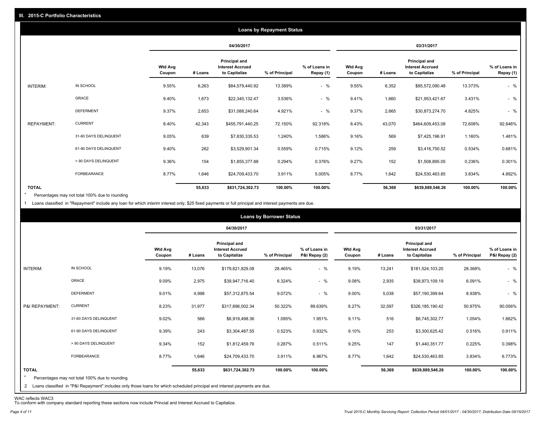|                   |                       |                          |         |                                                           | <b>Loans by Repayment Status</b> |                            |                          |         |                                                                  |                |                            |
|-------------------|-----------------------|--------------------------|---------|-----------------------------------------------------------|----------------------------------|----------------------------|--------------------------|---------|------------------------------------------------------------------|----------------|----------------------------|
|                   |                       |                          |         | 04/30/2017                                                |                                  |                            |                          |         | 03/31/2017                                                       |                |                            |
|                   |                       | <b>Wtd Avg</b><br>Coupon | # Loans | Principal and<br><b>Interest Accrued</b><br>to Capitalize | % of Principal                   | % of Loans in<br>Repay (1) | <b>Wtd Avg</b><br>Coupon | # Loans | <b>Principal and</b><br><b>Interest Accrued</b><br>to Capitalize | % of Principal | % of Loans in<br>Repay (1) |
| INTERIM:          | IN SCHOOL             | 9.55%                    | 6,263   | \$84,579,440.92                                           | 13.389%                          | $-$ %                      | 9.55%                    | 6,352   | \$85,572,090.48                                                  | 13.373%        | $-$ %                      |
|                   | GRACE                 | 9.40%                    | 1,673   | \$22,340,132.47                                           | 3.536%                           | $-$ %                      | 9.41%                    | 1,660   | \$21,953,421.67                                                  | 3.431%         | $-$ %                      |
|                   | <b>DEFERMENT</b>      | 9.37%                    | 2,653   | \$31,088,240.64                                           | 4.921%                           | $-$ %                      | 9.37%                    | 2,665   | \$30,873,274.70                                                  | 4.825%         | $-$ %                      |
| <b>REPAYMENT:</b> | <b>CURRENT</b>        | 8.40%                    | 42,343  | \$455,791,440.25                                          | 72.150%                          | 92.318%                    | 8.43%                    | 43,070  | \$464,609,453.08                                                 | 72.608%        | 92.646%                    |
|                   | 31-60 DAYS DELINQUENT | 9.05%                    | 639     | \$7,830,335.53                                            | 1.240%                           | 1.586%                     | 9.16%                    | 569     | \$7,425,196.91                                                   | 1.160%         | 1.481%                     |
|                   | 61-90 DAYS DELINQUENT | 9.40%                    | 262     | \$3,529,901.34                                            | 0.559%                           | 0.715%                     | 9.12%                    | 259     | \$3,416,750.52                                                   | 0.534%         | 0.681%                     |
|                   | > 90 DAYS DELINQUENT  | 9.36%                    | 154     | \$1,855,377.88                                            | 0.294%                           | 0.376%                     | 9.27%                    | 152     | \$1,508,895.05                                                   | 0.236%         | 0.301%                     |
|                   | <b>FORBEARANCE</b>    | 8.77%                    | 1,646   | \$24,709,433.70                                           | 3.911%                           | 5.005%                     | 8.77%                    | 1,642   | \$24,530,463.85                                                  | 3.834%         | 4.892%                     |
| <b>TOTAL</b>      |                       |                          | 55,633  | \$631,724,302.73                                          | 100.00%                          | 100.00%                    |                          | 56,369  | \$639,889,546.26                                                 | 100.00%        | 100.00%                    |

Percentages may not total 100% due to rounding  $\star$ 

1 Loans classified in "Repayment" include any loan for which interim interest only, \$25 fixed payments or full principal and interest payments are due.

|                         |                                                                                                                              |                          |         |                                                           | <b>Loans by Borrower Status</b> |                                |                          |         |                                                           |                |                                |
|-------------------------|------------------------------------------------------------------------------------------------------------------------------|--------------------------|---------|-----------------------------------------------------------|---------------------------------|--------------------------------|--------------------------|---------|-----------------------------------------------------------|----------------|--------------------------------|
|                         |                                                                                                                              |                          |         | 04/30/2017                                                |                                 |                                |                          |         | 03/31/2017                                                |                |                                |
|                         |                                                                                                                              | <b>Wtd Avg</b><br>Coupon | # Loans | Principal and<br><b>Interest Accrued</b><br>to Capitalize | % of Principal                  | % of Loans in<br>P&I Repay (2) | <b>Wtd Avg</b><br>Coupon | # Loans | Principal and<br><b>Interest Accrued</b><br>to Capitalize | % of Principal | % of Loans in<br>P&I Repay (2) |
| INTERIM:                | IN SCHOOL                                                                                                                    | 9.19%                    | 13,076  | \$179,821,829.08                                          | 28.465%                         | $-$ %                          | 9.19%                    | 13,241  | \$181,524,103.20                                          | 28.368%        | $-$ %                          |
|                         | GRACE                                                                                                                        | 9.09%                    | 2,975   | \$39,947,716.40                                           | 6.324%                          | $-$ %                          | 9.08%                    | 2,935   | \$38,973,109.19                                           | 6.091%         | $-$ %                          |
|                         | <b>DEFERMENT</b>                                                                                                             | 9.01%                    | 4,998   | \$57,312,875.54                                           | 9.072%                          | $-$ %                          | 9.00%                    | 5,038   | \$57,190,399.64                                           | 8.938%         | $-$ %                          |
| P&I REPAYMENT:          | <b>CURRENT</b>                                                                                                               | 8.23%                    | 31,977  | \$317,896,002.34                                          | 50.322%                         | 89.639%                        | 8.27%                    | 32,597  | \$326,185,190.42                                          | 50.975%        | 90.056%                        |
|                         | 31-60 DAYS DELINQUENT                                                                                                        | 9.02%                    | 566     | \$6,919,498.36                                            | 1.095%                          | 1.951%                         | 9.11%                    | 516     | \$6,745,302.77                                            | 1.054%         | 1.862%                         |
|                         | 61-90 DAYS DELINQUENT                                                                                                        | 9.39%                    | 243     | \$3,304,487.55                                            | 0.523%                          | 0.932%                         | 9.10%                    | 253     | \$3,300,625.42                                            | 0.516%         | 0.911%                         |
|                         | > 90 DAYS DELINQUENT                                                                                                         | 9.34%                    | 152     | \$1,812,459.76                                            | 0.287%                          | 0.511%                         | 9.25%                    | 147     | \$1,440,351.77                                            | 0.225%         | 0.398%                         |
|                         | FORBEARANCE                                                                                                                  | 8.77%                    | 1,646   | \$24,709,433.70                                           | 3.911%                          | 6.967%                         | 8.77%                    | 1,642   | \$24,530,463.85                                           | 3.834%         | 6.773%                         |
| <b>TOTAL</b><br>$\star$ | Percentages may not total 100% due to rounding                                                                               |                          | 55,633  | \$631,724,302.73                                          | 100.00%                         | 100.00%                        |                          | 56,369  | \$639,889,546.26                                          | 100.00%        | 100.00%                        |
|                         | 2 Loans classified in "P&I Repayment" includes only those loans for which scheduled principal and interest payments are due. |                          |         |                                                           |                                 |                                |                          |         |                                                           |                |                                |

WAC reflects WAC3 To conform with company standard reporting these sections now include Princial and Interest Accrued to Capitalize.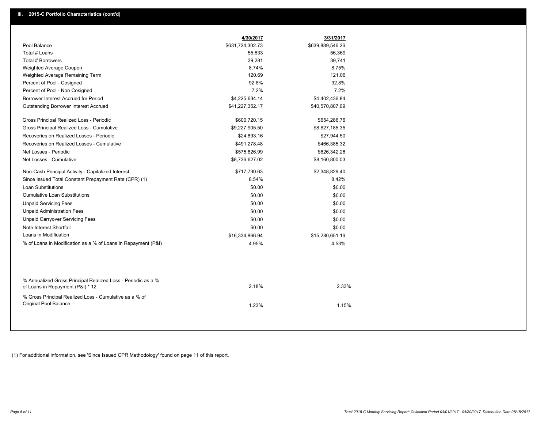|                                                                                                  | 4/30/2017        | 3/31/2017        |
|--------------------------------------------------------------------------------------------------|------------------|------------------|
| Pool Balance                                                                                     | \$631,724,302.73 | \$639,889,546.26 |
| Total # Loans                                                                                    | 55,633           | 56,369           |
| Total # Borrowers                                                                                | 39,281           | 39,741           |
| Weighted Average Coupon                                                                          | 8.74%            | 8.75%            |
| Weighted Average Remaining Term                                                                  | 120.69           | 121.06           |
| Percent of Pool - Cosigned                                                                       | 92.8%            | 92.8%            |
| Percent of Pool - Non Cosigned                                                                   | 7.2%             | 7.2%             |
| Borrower Interest Accrued for Period                                                             | \$4,225,634.14   | \$4,402,436.84   |
| <b>Outstanding Borrower Interest Accrued</b>                                                     | \$41,227,352.17  | \$40,570,807.69  |
| Gross Principal Realized Loss - Periodic                                                         | \$600,720.15     | \$654,286.76     |
| Gross Principal Realized Loss - Cumulative                                                       | \$9,227,905.50   | \$8,627,185.35   |
| Recoveries on Realized Losses - Periodic                                                         | \$24,893.16      | \$27,944.50      |
| Recoveries on Realized Losses - Cumulative                                                       | \$491,278.48     | \$466,385.32     |
| Net Losses - Periodic                                                                            | \$575,826.99     | \$626,342.26     |
| Net Losses - Cumulative                                                                          | \$8,736,627.02   | \$8,160,800.03   |
| Non-Cash Principal Activity - Capitalized Interest                                               | \$717,730.63     | \$2,348,829.40   |
| Since Issued Total Constant Prepayment Rate (CPR) (1)                                            | 8.54%            | 8.42%            |
| <b>Loan Substitutions</b>                                                                        | \$0.00           | \$0.00           |
| <b>Cumulative Loan Substitutions</b>                                                             | \$0.00           | \$0.00           |
| <b>Unpaid Servicing Fees</b>                                                                     | \$0.00           | \$0.00           |
| <b>Unpaid Administration Fees</b>                                                                | \$0.00           | \$0.00           |
| <b>Unpaid Carryover Servicing Fees</b>                                                           | \$0.00           | \$0.00           |
| Note Interest Shortfall                                                                          | \$0.00           | \$0.00           |
| Loans in Modification                                                                            | \$16,334,866.94  | \$15,280,651.16  |
| % of Loans in Modification as a % of Loans in Repayment (P&I)                                    | 4.95%            | 4.53%            |
|                                                                                                  |                  |                  |
| % Annualized Gross Principal Realized Loss - Periodic as a %<br>of Loans in Repayment (P&I) * 12 | 2.18%            | 2.33%            |
| % Gross Principal Realized Loss - Cumulative as a % of<br>Original Pool Balance                  | 1.23%            | 1.15%            |

(1) For additional information, see 'Since Issued CPR Methodology' found on page 11 of this report.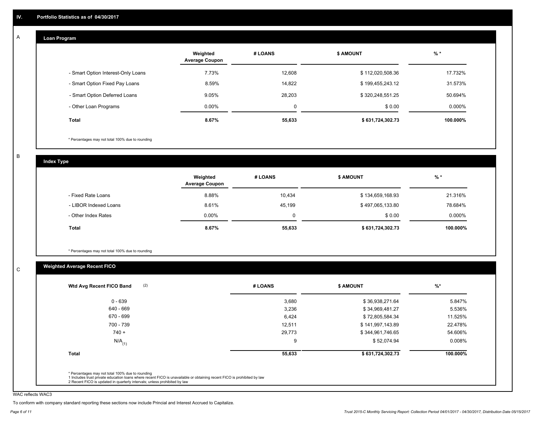#### **Loan Program**  A

|                                    | Weighted<br><b>Average Coupon</b> | # LOANS | <b>\$ AMOUNT</b> | $%$ *     |
|------------------------------------|-----------------------------------|---------|------------------|-----------|
| - Smart Option Interest-Only Loans | 7.73%                             | 12.608  | \$112,020,508.36 | 17.732%   |
| - Smart Option Fixed Pay Loans     | 8.59%                             | 14,822  | \$199,455,243.12 | 31.573%   |
| - Smart Option Deferred Loans      | 9.05%                             | 28.203  | \$320,248,551.25 | 50.694%   |
| - Other Loan Programs              | $0.00\%$                          | 0       | \$0.00           | $0.000\%$ |
| <b>Total</b>                       | 8.67%                             | 55,633  | \$631,724,302.73 | 100.000%  |

\* Percentages may not total 100% due to rounding

B

C

**Index Type**

|                       | Weighted<br><b>Average Coupon</b> | # LOANS | <b>\$ AMOUNT</b> | $%$ *     |
|-----------------------|-----------------------------------|---------|------------------|-----------|
| - Fixed Rate Loans    | 8.88%                             | 10,434  | \$134,659,168.93 | 21.316%   |
| - LIBOR Indexed Loans | 8.61%                             | 45,199  | \$497,065,133.80 | 78.684%   |
| - Other Index Rates   | $0.00\%$                          |         | \$0.00           | $0.000\%$ |
| <b>Total</b>          | 8.67%                             | 55,633  | \$631,724,302.73 | 100.000%  |

\* Percentages may not total 100% due to rounding

## **Weighted Average Recent FICO**

| 3,680<br>$0 - 639$<br>\$36,938,271.64<br>640 - 669<br>3,236<br>\$34,969,481.27<br>670 - 699<br>6,424<br>\$72,805,584.34<br>700 - 739<br>12,511<br>\$141,997,143.89<br>29,773<br>$740 +$<br>\$344,961,746.65<br>9 | 5.847%                   |                      |
|------------------------------------------------------------------------------------------------------------------------------------------------------------------------------------------------------------------|--------------------------|----------------------|
|                                                                                                                                                                                                                  |                          |                      |
|                                                                                                                                                                                                                  | 5.536%                   |                      |
|                                                                                                                                                                                                                  | 11.525%                  |                      |
|                                                                                                                                                                                                                  | 22.478%                  |                      |
|                                                                                                                                                                                                                  | 54.606%                  |                      |
|                                                                                                                                                                                                                  | \$52,074.94<br>$0.008\%$ | $N/A$ <sub>(1)</sub> |
| 55,633<br>\$631,724,302.73<br>Total                                                                                                                                                                              | 100.000%                 |                      |

WAC reflects WAC3

To conform with company standard reporting these sections now include Princial and Interest Accrued to Capitalize.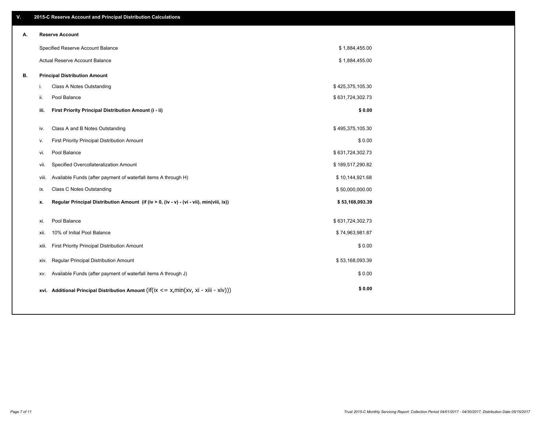| ۷. |       | 2015-C Reserve Account and Principal Distribution Calculations                                      |                  |  |
|----|-------|-----------------------------------------------------------------------------------------------------|------------------|--|
| А. |       | <b>Reserve Account</b>                                                                              |                  |  |
|    |       | Specified Reserve Account Balance                                                                   | \$1,884,455.00   |  |
|    |       | Actual Reserve Account Balance                                                                      | \$1,884,455.00   |  |
| В. |       | <b>Principal Distribution Amount</b>                                                                |                  |  |
|    | i.    | Class A Notes Outstanding                                                                           | \$425,375,105.30 |  |
|    | ii.   | Pool Balance                                                                                        | \$631,724,302.73 |  |
|    | iii.  | First Priority Principal Distribution Amount (i - ii)                                               | \$0.00           |  |
|    |       |                                                                                                     |                  |  |
|    | iv.   | Class A and B Notes Outstanding                                                                     | \$495,375,105.30 |  |
|    | v.    | First Priority Principal Distribution Amount                                                        | \$0.00           |  |
|    | vi.   | Pool Balance                                                                                        | \$631,724,302.73 |  |
|    | vii.  | Specified Overcollateralization Amount                                                              | \$189,517,290.82 |  |
|    | viii. | Available Funds (after payment of waterfall items A through H)                                      | \$10,144,921.68  |  |
|    | ix.   | Class C Notes Outstanding                                                                           | \$50,000,000.00  |  |
|    | x.    | Regular Principal Distribution Amount (if (iv > 0, (iv - v) - (vi - vii), min(viii, ix))            | \$53,168,093.39  |  |
|    |       |                                                                                                     |                  |  |
|    | xi.   | Pool Balance                                                                                        | \$631,724,302.73 |  |
|    | xii.  | 10% of Initial Pool Balance                                                                         | \$74,963,981.87  |  |
|    | xiii. | First Priority Principal Distribution Amount                                                        | \$0.00           |  |
|    | XIV.  | Regular Principal Distribution Amount                                                               | \$53,168,093.39  |  |
|    | XV.   | Available Funds (after payment of waterfall items A through J)                                      | \$0.00           |  |
|    |       | xvi. Additional Principal Distribution Amount (if( $ix \le x$ , min( $xv$ , $xi$ - $xiii - xiv$ ))) | \$0.00           |  |
|    |       |                                                                                                     |                  |  |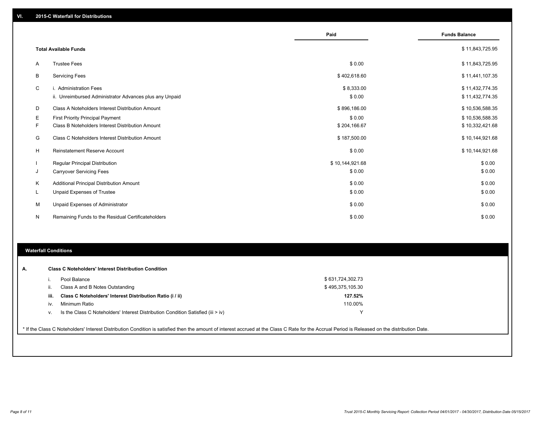|    |                                                                                   | Paid                 | <b>Funds Balance</b>               |
|----|-----------------------------------------------------------------------------------|----------------------|------------------------------------|
|    | <b>Total Available Funds</b>                                                      |                      | \$11,843,725.95                    |
| A  | <b>Trustee Fees</b>                                                               | \$0.00               | \$11,843,725.95                    |
| B  | <b>Servicing Fees</b>                                                             | \$402,618.60         | \$11,441,107.35                    |
| C  | i. Administration Fees<br>ii. Unreimbursed Administrator Advances plus any Unpaid | \$8,333.00<br>\$0.00 | \$11,432,774.35<br>\$11,432,774.35 |
| D  | Class A Noteholders Interest Distribution Amount                                  | \$896,186.00         | \$10,536,588.35                    |
| Е  | <b>First Priority Principal Payment</b>                                           | \$0.00               | \$10,536,588.35                    |
| F  | Class B Noteholders Interest Distribution Amount                                  | \$204,166.67         | \$10,332,421.68                    |
| G  | Class C Noteholders Interest Distribution Amount                                  | \$187,500.00         | \$10,144,921.68                    |
| н  | <b>Reinstatement Reserve Account</b>                                              | \$0.00               | \$10,144,921.68                    |
|    | <b>Regular Principal Distribution</b>                                             | \$10,144,921.68      | \$0.00                             |
| J  | <b>Carryover Servicing Fees</b>                                                   | \$0.00               | \$0.00                             |
| Κ  | Additional Principal Distribution Amount                                          | \$0.00               | \$0.00                             |
| L. | Unpaid Expenses of Trustee                                                        | \$0.00               | \$0.00                             |
| М  | Unpaid Expenses of Administrator                                                  | \$0.00               | \$0.00                             |
| N  | Remaining Funds to the Residual Certificateholders                                | \$0.00               | \$0.00                             |

#### **Waterfall Conditions**

|      | Pool Balance                                                                       | \$631,724,302.73 |
|------|------------------------------------------------------------------------------------|------------------|
| Ш.   | Class A and B Notes Outstanding                                                    | \$495,375,105.30 |
| iii. | Class C Noteholders' Interest Distribution Ratio (i / ii)                          | 127.52%          |
| iv.  | Minimum Ratio                                                                      | 110.00%          |
| v.   | Is the Class C Noteholders' Interest Distribution Condition Satisfied (iii $>$ iv) |                  |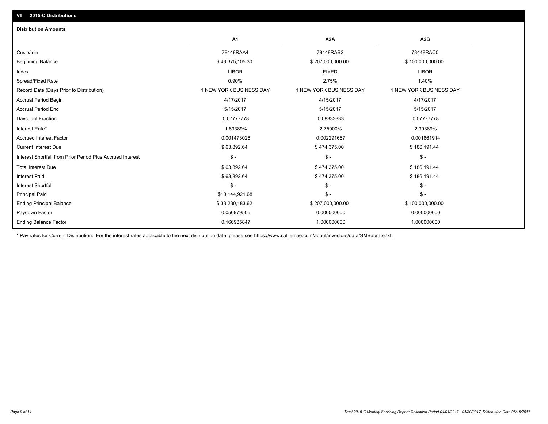| <b>Distribution Amounts</b>                                |                         |                         |                         |
|------------------------------------------------------------|-------------------------|-------------------------|-------------------------|
|                                                            | A1                      | A <sub>2</sub> A        | A <sub>2</sub> B        |
| Cusip/Isin                                                 | 78448RAA4               | 78448RAB2               | 78448RAC0               |
| <b>Beginning Balance</b>                                   | \$43,375,105.30         | \$207,000,000.00        | \$100,000,000.00        |
| Index                                                      | <b>LIBOR</b>            | <b>FIXED</b>            | <b>LIBOR</b>            |
| Spread/Fixed Rate                                          | 0.90%                   | 2.75%                   | 1.40%                   |
| Record Date (Days Prior to Distribution)                   | 1 NEW YORK BUSINESS DAY | 1 NEW YORK BUSINESS DAY | 1 NEW YORK BUSINESS DAY |
| <b>Accrual Period Begin</b>                                | 4/17/2017               | 4/15/2017               | 4/17/2017               |
| <b>Accrual Period End</b>                                  | 5/15/2017               | 5/15/2017               | 5/15/2017               |
| Daycount Fraction                                          | 0.07777778              | 0.08333333              | 0.07777778              |
| Interest Rate*                                             | 1.89389%                | 2.75000%                | 2.39389%                |
| <b>Accrued Interest Factor</b>                             | 0.001473026             | 0.002291667             | 0.001861914             |
| <b>Current Interest Due</b>                                | \$63,892.64             | \$474,375.00            | \$186,191.44            |
| Interest Shortfall from Prior Period Plus Accrued Interest | $S -$                   | $\mathsf{\$}$ -         | $\mathsf{\$}$ -         |
| <b>Total Interest Due</b>                                  | \$63,892.64             | \$474,375.00            | \$186,191.44            |
| <b>Interest Paid</b>                                       | \$63,892.64             | \$474,375.00            | \$186,191.44            |
| <b>Interest Shortfall</b>                                  | $S -$                   | $\mathsf{\$}$ -         | $\mathsf{\$}$ -         |
| <b>Principal Paid</b>                                      | \$10,144,921.68         | $\mathsf{\$}$ -         | $\mathsf{\$}$ -         |
| <b>Ending Principal Balance</b>                            | \$33,230,183.62         | \$207,000,000.00        | \$100,000,000.00        |
| Paydown Factor                                             | 0.050979506             | 0.000000000             | 0.000000000             |
| <b>Ending Balance Factor</b>                               | 0.166985847             | 1.000000000             | 1.000000000             |

\* Pay rates for Current Distribution. For the interest rates applicable to the next distribution date, please see https://www.salliemae.com/about/investors/data/SMBabrate.txt.

**VII. 2015-C Distributions**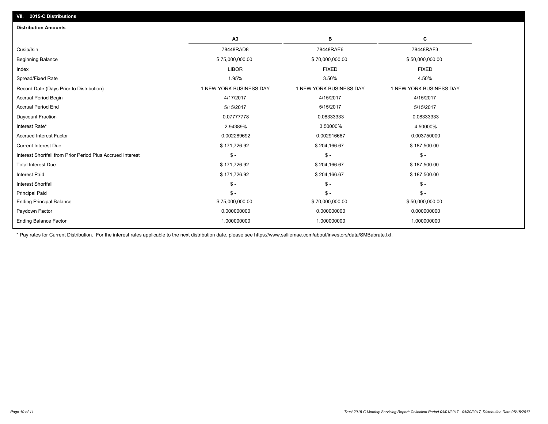| A <sub>3</sub><br>в<br>78448RAD8<br>78448RAE6<br>Cusip/Isin<br>\$75,000,000.00<br>\$70,000,000.00<br><b>Beginning Balance</b><br><b>LIBOR</b><br><b>FIXED</b><br>Index | С<br>78448RAF3<br>\$50,000,000.00<br><b>FIXED</b> |
|------------------------------------------------------------------------------------------------------------------------------------------------------------------------|---------------------------------------------------|
|                                                                                                                                                                        |                                                   |
|                                                                                                                                                                        |                                                   |
|                                                                                                                                                                        |                                                   |
|                                                                                                                                                                        |                                                   |
| Spread/Fixed Rate<br>3.50%<br>1.95%                                                                                                                                    | 4.50%                                             |
| 1 NEW YORK BUSINESS DAY<br>1 NEW YORK BUSINESS DAY<br>Record Date (Days Prior to Distribution)                                                                         | 1 NEW YORK BUSINESS DAY                           |
| 4/17/2017<br>4/15/2017<br><b>Accrual Period Begin</b>                                                                                                                  | 4/15/2017                                         |
| <b>Accrual Period End</b><br>5/15/2017<br>5/15/2017                                                                                                                    | 5/15/2017                                         |
| 0.07777778<br>Daycount Fraction<br>0.08333333                                                                                                                          | 0.08333333                                        |
| 2.94389%<br>3.50000%<br>Interest Rate*                                                                                                                                 | 4.50000%                                          |
| <b>Accrued Interest Factor</b><br>0.002289692<br>0.002916667                                                                                                           | 0.003750000                                       |
| <b>Current Interest Due</b><br>\$171,726.92<br>\$204,166.67                                                                                                            | \$187,500.00                                      |
| $\mathsf{\$}$ -<br>Interest Shortfall from Prior Period Plus Accrued Interest<br>$\frac{2}{3}$ -                                                                       | $S -$                                             |
| \$171,726.92<br><b>Total Interest Due</b><br>\$204,166.67                                                                                                              | \$187,500.00                                      |
| <b>Interest Paid</b><br>\$171,726.92<br>\$204,166.67                                                                                                                   | \$187,500.00                                      |
| $\frac{1}{2}$<br>$\mathsf{\$}$ -<br><b>Interest Shortfall</b>                                                                                                          | $\frac{2}{3}$ -                                   |
| $\mathsf{\$}$ -<br>$\mathsf{\$}$ -<br><b>Principal Paid</b>                                                                                                            | $S -$                                             |
| \$75,000,000.00<br><b>Ending Principal Balance</b><br>\$70,000,000.00                                                                                                  | \$50,000,000.00                                   |
| 0.000000000<br>0.000000000<br>Paydown Factor                                                                                                                           | 0.000000000                                       |
| <b>Ending Balance Factor</b><br>1.000000000<br>1.000000000                                                                                                             | 1.000000000                                       |

\* Pay rates for Current Distribution. For the interest rates applicable to the next distribution date, please see https://www.salliemae.com/about/investors/data/SMBabrate.txt.

**VII. 2015-C Distributions**